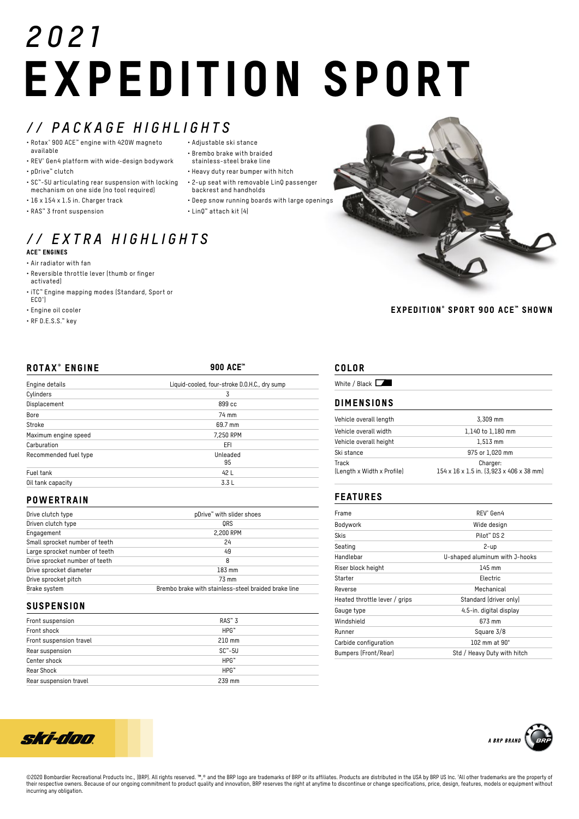# *2021* EXPEDITION SPORT

# *// PACKAGE HIGHLIGHTS*

- Rotax® 900 ACE™ engine with 420W magneto available
- REV® Gen4 platform with wide-design bodywork • pDrive™ clutch
- SC™-5U articulating rear suspension with locking
- mechanism on one side (no tool required) • 16 x 154 x 1.5 in. Charger track
- RAS™ 3 front suspension
- Adjustable ski stance
- Brembo brake with braided stainless-steel brake line
- Heavy duty rear bumper with hitch
- 2-up seat with removable LinQ passenger
	- backrest and handholds
- Deep snow running boards with large openings
- LinQ™ attach kit (4)

## *// EXTRA HIGHLIGHTS* ACE™ ENGINES

- Air radiator with fan
- Reversible throttle lever (thumb or finger activated)
- iTC™ Engine mapping modes (Standard, Sport or ECO® )
- Engine oil cooler
- RF D.E.S.S.™ key

| <b>ROTAX<sup>®</sup> ENGINE</b> | 900 ACE <sup>**</sup>                         |
|---------------------------------|-----------------------------------------------|
| Engine details                  | Liquid-cooled, four-stroke D.O.H.C., dry sump |
| Cylinders                       | 3                                             |
| Displacement                    | 899 cc                                        |
| Bore                            | 74 mm                                         |
| Stroke                          | 69.7 mm                                       |
| Maximum engine speed            | 7,250 RPM                                     |
| Carburation                     | EFI                                           |
| Recommended fuel type           | Unleaded<br>95                                |
| Fuel tank                       | 42 L                                          |
| Oil tank capacity               | 3.3L                                          |

#### **POWERTRAIN**

| Drive clutch type              | pDrive™ with slider shoes                            |
|--------------------------------|------------------------------------------------------|
| Driven clutch type             | ORS                                                  |
| Engagement                     | 2,200 RPM                                            |
| Small sprocket number of teeth | 24                                                   |
| Large sprocket number of teeth | 49                                                   |
| Drive sprocket number of teeth | 8                                                    |
| Drive sprocket diameter        | 183 mm                                               |
| Drive sprocket pitch           | 73 mm                                                |
| Brake system                   | Brembo brake with stainless-steel braided brake line |

### **SUSPENSION**

| Front suspension        | $RAS^{\omega}3$ |
|-------------------------|-----------------|
| Front shock             | $HPG^*$         |
| Front suspension travel | $210$ mm        |
| Rear suspension         | $SC^* - 5U$     |
| Center shock            | $HPG^*$         |
| Rear Shock              | $HPG^*$         |
| Rear suspension travel  | 239 mm          |



#### EXPEDITION® SPORT 900 ACE ™ SHOWN

## COLOR

| White / Black $\Box$<br><b>DIMENSIONS</b> |                                                      |  |
|-------------------------------------------|------------------------------------------------------|--|
|                                           |                                                      |  |
| Vehicle overall width                     | 1,140 to 1,180 mm                                    |  |
| Vehicle overall height                    | $1.513$ mm                                           |  |
| Ski stance                                | 975 or 1,020 mm                                      |  |
| Track<br>(Length x Width x Profile)       | Charger:<br>154 x 16 x 1.5 in. (3,923 x 406 x 38 mm) |  |

### FEATURES

| Frame                         | RFV <sup>®</sup> Gen4          |
|-------------------------------|--------------------------------|
| Bodywork                      | Wide design                    |
| Skis                          | Pilot™ DS 2                    |
| Seating                       | 2-up                           |
| Handlebar                     | U-shaped aluminum with J-hooks |
| Riser block height            | 145 mm                         |
| Starter                       | Electric                       |
| Reverse                       | Mechanical                     |
| Heated throttle lever / grips | Standard (driver only)         |
| Gauge type                    | 4.5-in. digital display        |
| Windshield                    | 673 mm                         |
| Runner                        | Square 3/8                     |
| Carbide configuration         | 102 mm at $90^\circ$           |
| <b>Bumpers (Front/Rear)</b>   | Std / Heavy Duty with hitch    |





©2020 Bombardier Recreational Products Inc., (BRP). All rights reserved. ™,® and the BRP logo are trademarks of BRP or its affiliates. Products are distributed in the USA by BRP US Inc. 1All other trademarks are the prope their respective owners. Because of our ongoing commitment to product quality and innovation, BRP reserves the right at anytime to discontinue or change specifications, price, design, features, models or equipment without incurring any obligation.